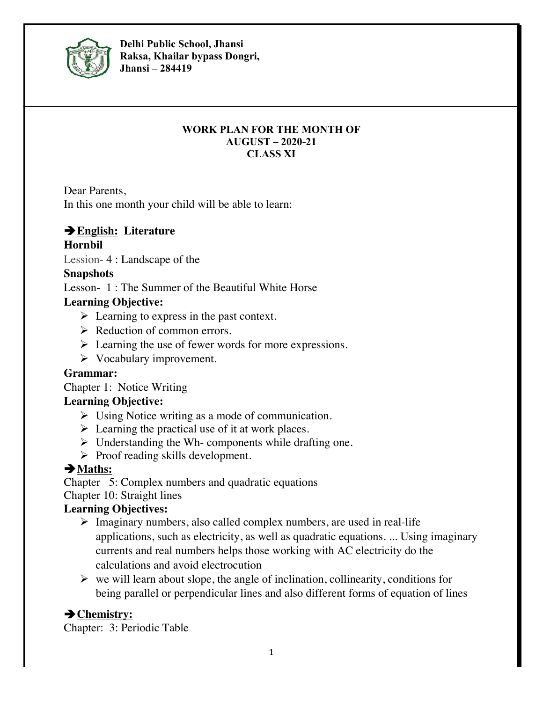

**Delhi Public School, Jhansi Raksa, Khailar bypass Dongri, Jhansi – 284419**

#### **WORK PLAN FOR THE MONTH OF AUGUST – 2020-21 CLASS XI**

Dear Parents,

In this one month your child will be able to learn:

# è**English: Literature**

#### **Hornbil**

Lession- 4 : Landscape of the

#### **Snapshots**

Lesson- 1 : The Summer of the Beautiful White Horse

# **Learning Objective:**

- $\triangleright$  Learning to express in the past context.
- $\triangleright$  Reduction of common errors.
- $\triangleright$  Learning the use of fewer words for more expressions.
- $\triangleright$  Vocabulary improvement.

# **Grammar:**

Chapter 1: Notice Writing

# **Learning Objective:**

- $\triangleright$  Using Notice writing as a mode of communication.
- $\triangleright$  Learning the practical use of it at work places.
- $\triangleright$  Understanding the Wh- components while drafting one.
- $\triangleright$  Proof reading skills development.

# $→$  Maths:

Chapter 5: Complex numbers and quadratic equations

Chapter 10: Straight lines

# **Learning Objectives:**

- $\triangleright$  Imaginary numbers, also called complex numbers, are used in real-life applications, such as electricity, as well as quadratic equations. ... Using imaginary currents and real numbers helps those working with AC electricity do the calculations and avoid electrocution
- $\triangleright$  we will learn about slope, the angle of inclination, collinearity, conditions for being parallel or perpendicular lines and also different forms of equation of lines

# è**Chemistry:**

Chapter: 3: Periodic Table